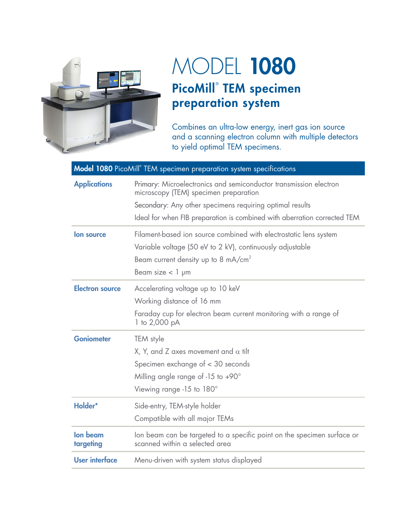

## MODEL 1080 PicoMill® TEM specimen preparation system

Combines an ultra-low energy, inert gas ion source and a scanning electron column with multiple detectors to yield optimal TEM specimens.

| Model 1080 PicoMill® TEM specimen preparation system specifications |                                                                                                                                                                                                                                                    |
|---------------------------------------------------------------------|----------------------------------------------------------------------------------------------------------------------------------------------------------------------------------------------------------------------------------------------------|
| <b>Applications</b>                                                 | Primary: Microelectronics and semiconductor transmission electron<br>microscopy (TEM) specimen preparation<br>Secondary: Any other specimens requiring optimal results<br>Ideal for when FIB preparation is combined with aberration corrected TEM |
| lon source                                                          | Filament-based ion source combined with electrostatic lens system<br>Variable voltage (50 eV to 2 kV), continuously adjustable<br>Beam current density up to 8 mA/cm <sup>2</sup><br>Beam size $<$ 1 $\mu$ m                                       |
| <b>Electron source</b>                                              | Accelerating voltage up to 10 keV<br>Working distance of 16 mm<br>Faraday cup for electron beam current monitoring with a range of<br>1 to 2,000 pA                                                                                                |
| <b>Goniometer</b>                                                   | TEM style<br>X, Y, and Z axes movement and $\alpha$ tilt<br>Specimen exchange of < 30 seconds<br>Milling angle range of -15 to $+90^\circ$<br>Viewing range -15 to 180°                                                                            |
| Holder*                                                             | Side-entry, TEM-style holder<br>Compatible with all major TEMs                                                                                                                                                                                     |
| lon beam<br>targeting                                               | Ion beam can be targeted to a specific point on the specimen surface or<br>scanned within a selected area                                                                                                                                          |
| <b>User interface</b>                                               | Menu-driven with system status displayed                                                                                                                                                                                                           |